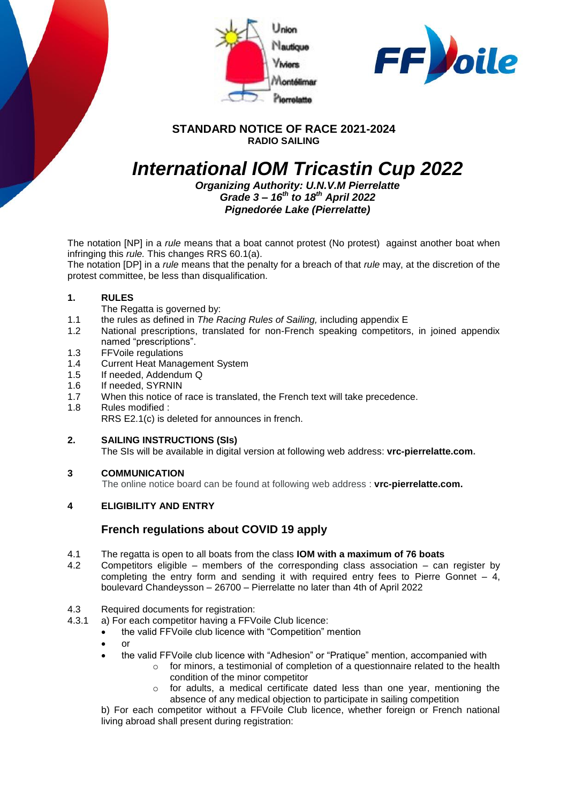



### **STANDARD NOTICE OF RACE 2021-2024 RADIO SAILING**

# *International IOM Tricastin Cup 2022*

*Organizing Authority: U.N.V.M Pierrelatte Grade 3 – 16th to 18th April 2022 Pignedorée Lake (Pierrelatte)*

The notation [NP] in a *rule* means that a boat cannot protest (No protest) against another boat when infringing this *rule.* This changes RRS 60.1(a).

The notation [DP] in a *rule* means that the penalty for a breach of that *rule* may, at the discretion of the protest committee, be less than disqualification.

#### **1. RULES**

- The Regatta is governed by:
- 1.1 the rules as defined in *The Racing Rules of Sailing,* including appendix E
- 1.2 National prescriptions, translated for non-French speaking competitors, in joined appendix named "prescriptions".
- 1.3 FFVoile regulations
- 1.4 Current Heat Management System
- 1.5 If needed, Addendum Q
- 1.6 If needed, SYRNIN
- 1.7 When this notice of race is translated, the French text will take precedence.
- 1.8 Rules modified : RRS E2.1(c) is deleted for announces in french.
- **2. SAILING INSTRUCTIONS (SIs)** The SIs will be available in digital version at following web address: **vrc-pierrelatte.com.**

#### **3 COMMUNICATION**

The online notice board can be found at following web address : **vrc-pierrelatte.com.**

#### **4 ELIGIBILITY AND ENTRY**

### **French regulations about COVID 19 apply**

- 4.1 The regatta is open to all boats from the class **IOM with a maximum of 76 boats**
- 4.2 Competitors eligible members of the corresponding class association can register by completing the entry form and sending it with required entry fees to Pierre Gonnet – 4, boulevard Chandeysson – 26700 – Pierrelatte no later than 4th of April 2022

## 4.3 Required documents for registration:<br>4.3.1 a) For each competitor having a FFV

- a) For each competitor having a FFVoile Club licence:
	- the valid FFVoile club licence with "Competition" mention
	- $\bullet$  or
	- the valid FFVoile club licence with "Adhesion" or "Pratique" mention, accompanied with
		- $\circ$  for minors, a testimonial of completion of a questionnaire related to the health condition of the minor competitor
		- $\circ$  for adults, a medical certificate dated less than one year, mentioning the absence of any medical objection to participate in sailing competition

b) For each competitor without a FFVoile Club licence, whether foreign or French national living abroad shall present during registration: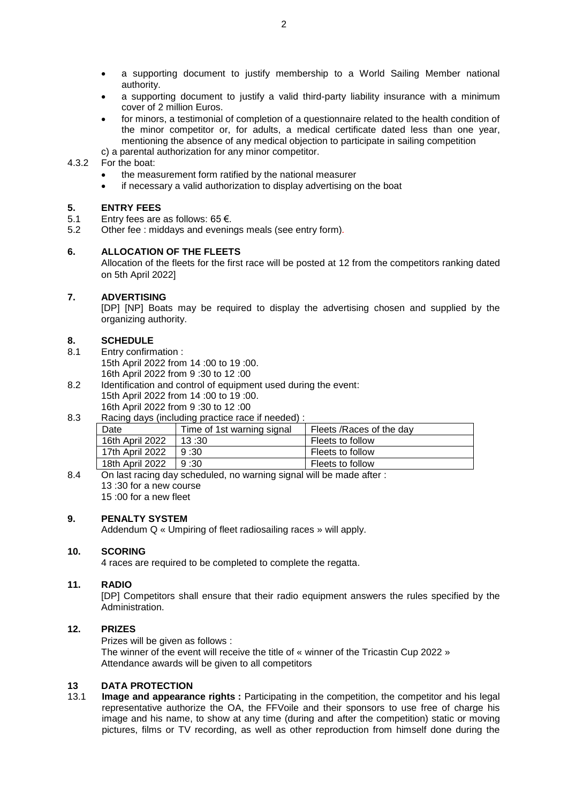- a supporting document to justify membership to a World Sailing Member national authority.
- a supporting document to justify a valid third-party liability insurance with a minimum cover of 2 million Euros.
- for minors, a testimonial of completion of a questionnaire related to the health condition of the minor competitor or, for adults, a medical certificate dated less than one year, mentioning the absence of any medical objection to participate in sailing competition
- c) a parental authorization for any minor competitor.

#### 4.3.2 For the boat:

- the measurement form ratified by the national measurer
- if necessary a valid authorization to display advertising on the boat

#### **5. ENTRY FEES**

- 5.1 Entry fees are as follows: 65 €.
- 5.2 Other fee : middays and evenings meals (see entry form)*.*

#### **6. ALLOCATION OF THE FLEETS**

Allocation of the fleets for the first race will be posted at 12 from the competitors ranking dated on 5th April 2022]

#### **7. ADVERTISING**

[DP] [NP] Boats may be required to display the advertising chosen and supplied by the organizing authority.

#### **8. SCHEDULE**

- 8.1 Entry confirmation :
	- 15th April 2022 from 14 :00 to 19 :00. 16th April 2022 from 9 :30 to 12 :00
- 8.2 Identification and control of equipment used during the event: 15th April 2022 from 14 :00 to 19 :00. 16th April 2022 from 9 :30 to 12 :00

#### 8.3 Racing days (including practice race if needed) :

| Date            | Time of 1st warning signal | Fleets / Races of the day |
|-----------------|----------------------------|---------------------------|
| 16th April 2022 | 13:30                      | Fleets to follow          |
| 17th April 2022 | 9:30                       | Fleets to follow          |
| 18th April 2022 | 9:30                       | Fleets to follow          |

8.4 On last racing day scheduled, no warning signal will be made after : 13 :30 for a new course 15 :00 for a new fleet

#### **9. PENALTY SYSTEM**

Addendum Q « Umpiring of fleet radiosailing races » will apply.

#### **10. SCORING**

4 races are required to be completed to complete the regatta.

#### **11. RADIO**

[DP] Competitors shall ensure that their radio equipment answers the rules specified by the Administration.

#### **12. PRIZES**

Prizes will be given as follows :

The winner of the event will receive the title of « winner of the Tricastin Cup 2022 » Attendance awards will be given to all competitors

## **13 DATA PROTECTION**

**Image and appearance rights :** Participating in the competition, the competitor and his legal representative authorize the OA, the FFVoile and their sponsors to use free of charge his image and his name, to show at any time (during and after the competition) static or moving pictures, films or TV recording, as well as other reproduction from himself done during the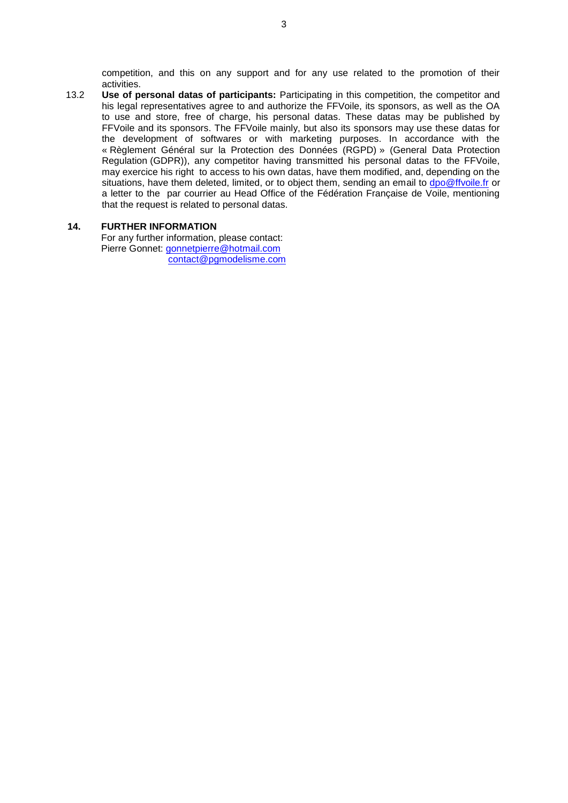competition, and this on any support and for any use related to the promotion of their activities.

13.2 **Use of personal datas of participants:** Participating in this competition, the competitor and his legal representatives agree to and authorize the FFVoile, its sponsors, as well as the OA to use and store, free of charge, his personal datas. These datas may be published by FFVoile and its sponsors. The FFVoile mainly, but also its sponsors may use these datas for the development of softwares or with marketing purposes. In accordance with the « Règlement Général sur la Protection des Données (RGPD) » (General Data Protection Regulation (GDPR)), any competitor having transmitted his personal datas to the FFVoile, may exercice his right to access to his own datas, have them modified, and, depending on the situations, have them deleted, limited, or to object them, sending an email to [dpo@ffvoile.fr](mailto:dpo@ffvoile.fr) or a letter to the par courrier au Head Office of the Fédération Française de Voile, mentioning that the request is related to personal datas.

#### **14. FURTHER INFORMATION**

For any further information, please contact: Pierre Gonnet: [gonnetpierre@hotmail.com](mailto:gonnetpierre@hotmail.com) [contact@pgmodelisme.com](mailto:contact@pgmodelisme.com)